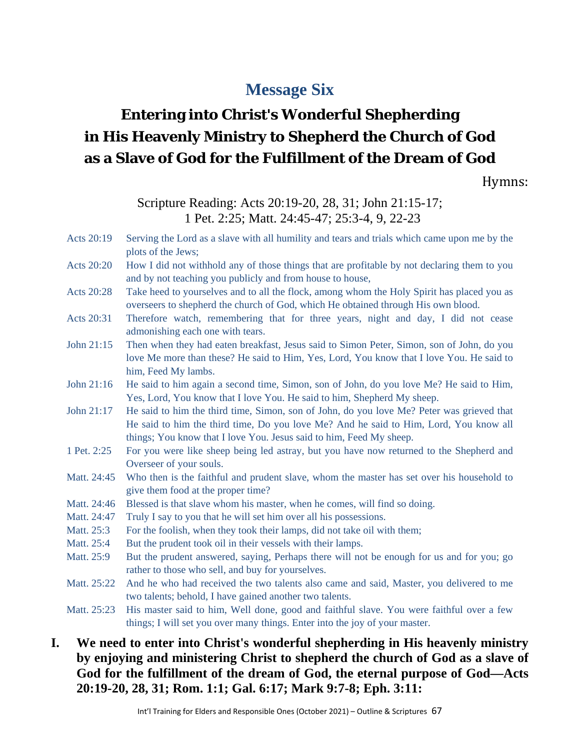# **Message Six**

# **Entering into Christ's Wonderful Shepherding in His Heavenly Ministry to Shepherd the Church of God as a Slave of God for the Fulfillment of the Dream of God**

Hymns:

Scripture Reading: Acts 20:19-20, 28, 31; John 21:15-17; 1 Pet. 2:25; Matt. 24:45-47; 25:3-4, 9, 22-23

- Acts 20:19 Serving the Lord as a slave with all humility and tears and trials which came upon me by the plots of the Jews;
- Acts 20:20 How I did not withhold any of those things that are profitable by not declaring them to you and by not teaching you publicly and from house to house,
- Acts 20:28 Take heed to yourselves and to all the flock, among whom the Holy Spirit has placed you as overseers to shepherd the church of God, which He obtained through His own blood.
- Acts 20:31 Therefore watch, remembering that for three years, night and day, I did not cease admonishing each one with tears.
- John 21:15 Then when they had eaten breakfast, Jesus said to Simon Peter, Simon, son of John, do you love Me more than these? He said to Him, Yes, Lord, You know that I love You. He said to him, Feed My lambs.
- John 21:16 He said to him again a second time, Simon, son of John, do you love Me? He said to Him, Yes, Lord, You know that I love You. He said to him, Shepherd My sheep.
- John 21:17 He said to him the third time, Simon, son of John, do you love Me? Peter was grieved that He said to him the third time, Do you love Me? And he said to Him, Lord, You know all things; You know that I love You. Jesus said to him, Feed My sheep.
- 1 Pet. 2:25 For you were like sheep being led astray, but you have now returned to the Shepherd and Overseer of your souls.
- Matt. 24:45 Who then is the faithful and prudent slave, whom the master has set over his household to give them food at the proper time?
- Matt. 24:46 Blessed is that slave whom his master, when he comes, will find so doing.
- Matt. 24:47 Truly I say to you that he will set him over all his possessions.
- Matt. 25:3 For the foolish, when they took their lamps, did not take oil with them;
- Matt. 25:4 But the prudent took oil in their vessels with their lamps.
- Matt. 25:9 But the prudent answered, saying, Perhaps there will not be enough for us and for you; go rather to those who sell, and buy for yourselves.
- Matt. 25:22 And he who had received the two talents also came and said, Master, you delivered to me two talents; behold, I have gained another two talents.
- Matt. 25:23 His master said to him, Well done, good and faithful slave. You were faithful over a few things; I will set you over many things. Enter into the joy of your master.
- **I. We need to enter into Christ's wonderful shepherding in His heavenly ministry by enjoying and ministering Christ to shepherd the church of God as a slave of God for the fulfillment of the dream of God, the eternal purpose of God—Acts 20:19-20, 28, 31; Rom. 1:1; Gal. 6:17; Mark 9:7-8; Eph. 3:11:**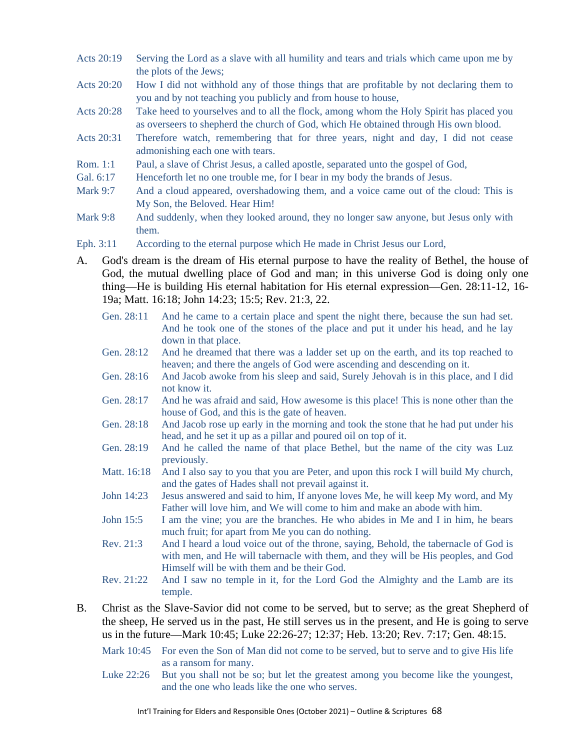- Acts 20:19 Serving the Lord as a slave with all humility and tears and trials which came upon me by the plots of the Jews;
- Acts 20:20 How I did not withhold any of those things that are profitable by not declaring them to you and by not teaching you publicly and from house to house,
- Acts 20:28 Take heed to yourselves and to all the flock, among whom the Holy Spirit has placed you as overseers to shepherd the church of God, which He obtained through His own blood.
- Acts 20:31 Therefore watch, remembering that for three years, night and day, I did not cease admonishing each one with tears.
- Rom. 1:1 Paul, a slave of Christ Jesus, a called apostle, separated unto the gospel of God,
- Gal. 6:17 Henceforth let no one trouble me, for I bear in my body the brands of Jesus.
- Mark 9:7 And a cloud appeared, overshadowing them, and a voice came out of the cloud: This is My Son, the Beloved. Hear Him!
- Mark 9:8 And suddenly, when they looked around, they no longer saw anyone, but Jesus only with them.
- Eph. 3:11 According to the eternal purpose which He made in Christ Jesus our Lord,
- A. God's dream is the dream of His eternal purpose to have the reality of Bethel, the house of God, the mutual dwelling place of God and man; in this universe God is doing only one thing—He is building His eternal habitation for His eternal expression—Gen. 28:11-12, 16- 19a; Matt. 16:18; John 14:23; 15:5; Rev. 21:3, 22.
	- Gen. 28:11 And he came to a certain place and spent the night there, because the sun had set. And he took one of the stones of the place and put it under his head, and he lay down in that place.
	- Gen. 28:12 And he dreamed that there was a ladder set up on the earth, and its top reached to heaven; and there the angels of God were ascending and descending on it.
	- Gen. 28:16 And Jacob awoke from his sleep and said, Surely Jehovah is in this place, and I did not know it.
	- Gen. 28:17 And he was afraid and said, How awesome is this place! This is none other than the house of God, and this is the gate of heaven.
	- Gen. 28:18 And Jacob rose up early in the morning and took the stone that he had put under his head, and he set it up as a pillar and poured oil on top of it.
	- Gen. 28:19 And he called the name of that place Bethel, but the name of the city was Luz previously.
	- Matt. 16:18 And I also say to you that you are Peter, and upon this rock I will build My church, and the gates of Hades shall not prevail against it.
	- John 14:23 Jesus answered and said to him, If anyone loves Me, he will keep My word, and My Father will love him, and We will come to him and make an abode with him.
	- John 15:5 I am the vine; you are the branches. He who abides in Me and I in him, he bears much fruit; for apart from Me you can do nothing.
	- Rev. 21:3 And I heard a loud voice out of the throne, saying, Behold, the tabernacle of God is with men, and He will tabernacle with them, and they will be His peoples, and God Himself will be with them and be their God.
	- Rev. 21:22 And I saw no temple in it, for the Lord God the Almighty and the Lamb are its temple.
- B. Christ as the Slave-Savior did not come to be served, but to serve; as the great Shepherd of the sheep, He served us in the past, He still serves us in the present, and He is going to serve us in the future—Mark 10:45; Luke 22:26-27; 12:37; Heb. 13:20; Rev. 7:17; Gen. 48:15.
	- Mark 10:45 For even the Son of Man did not come to be served, but to serve and to give His life as a ransom for many.
	- Luke 22:26 But you shall not be so; but let the greatest among you become like the youngest, and the one who leads like the one who serves.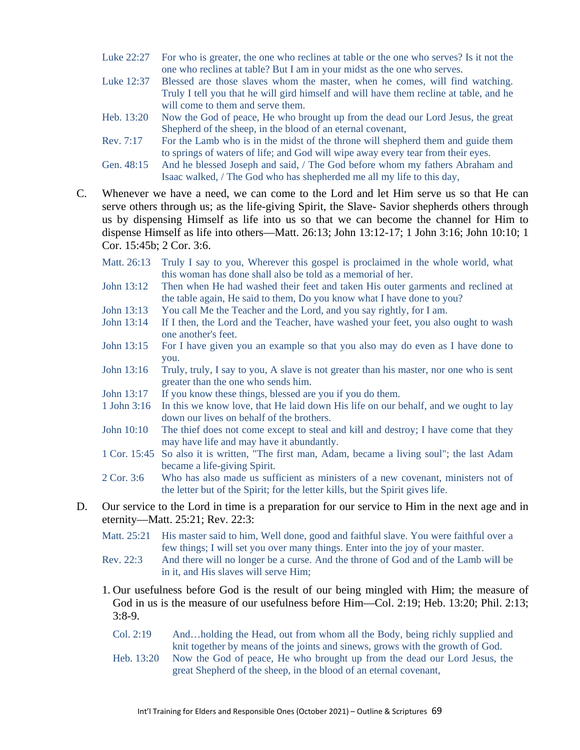- Luke 22:27 For who is greater, the one who reclines at table or the one who serves? Is it not the one who reclines at table? But I am in your midst as the one who serves.
- Luke 12:37 Blessed are those slaves whom the master, when he comes, will find watching. Truly I tell you that he will gird himself and will have them recline at table, and he will come to them and serve them.
- Heb. 13:20 Now the God of peace, He who brought up from the dead our Lord Jesus, the great Shepherd of the sheep, in the blood of an eternal covenant,
- Rev. 7:17 For the Lamb who is in the midst of the throne will shepherd them and guide them to springs of waters of life; and God will wipe away every tear from their eyes.
- Gen. 48:15 And he blessed Joseph and said, / The God before whom my fathers Abraham and Isaac walked, / The God who has shepherded me all my life to this day,
- C. Whenever we have a need, we can come to the Lord and let Him serve us so that He can serve others through us; as the life-giving Spirit, the Slave- Savior shepherds others through us by dispensing Himself as life into us so that we can become the channel for Him to dispense Himself as life into others—Matt. 26:13; John 13:12-17; 1 John 3:16; John 10:10; 1 Cor. 15:45b; 2 Cor. 3:6.
	- Matt. 26:13 Truly I say to you, Wherever this gospel is proclaimed in the whole world, what this woman has done shall also be told as a memorial of her.
	- John 13:12 Then when He had washed their feet and taken His outer garments and reclined at the table again, He said to them, Do you know what I have done to you?
	- John 13:13 You call Me the Teacher and the Lord, and you say rightly, for I am.
	- John 13:14 If I then, the Lord and the Teacher, have washed your feet, you also ought to wash one another's feet.
	- John 13:15 For I have given you an example so that you also may do even as I have done to you.
	- John 13:16 Truly, truly, I say to you, A slave is not greater than his master, nor one who is sent greater than the one who sends him.
	- John 13:17 If you know these things, blessed are you if you do them.
	- 1 John 3:16 In this we know love, that He laid down His life on our behalf, and we ought to lay down our lives on behalf of the brothers.
	- John 10:10 The thief does not come except to steal and kill and destroy; I have come that they may have life and may have it abundantly.
	- 1 Cor. 15:45 So also it is written, "The first man, Adam, became a living soul"; the last Adam became a life-giving Spirit.
	- 2 Cor. 3:6 Who has also made us sufficient as ministers of a new covenant, ministers not of the letter but of the Spirit; for the letter kills, but the Spirit gives life.
- D. Our service to the Lord in time is a preparation for our service to Him in the next age and in eternity—Matt. 25:21; Rev. 22:3:
	- Matt. 25:21 His master said to him, Well done, good and faithful slave. You were faithful over a few things; I will set you over many things. Enter into the joy of your master.
	- Rev. 22:3 And there will no longer be a curse. And the throne of God and of the Lamb will be in it, and His slaves will serve Him;
	- 1. Our usefulness before God is the result of our being mingled with Him; the measure of God in us is the measure of our usefulness before Him—Col. 2:19; Heb. 13:20; Phil. 2:13; 3:8-9.
		- Col. 2:19 And…holding the Head, out from whom all the Body, being richly supplied and knit together by means of the joints and sinews, grows with the growth of God.
		- Heb. 13:20 Now the God of peace, He who brought up from the dead our Lord Jesus, the great Shepherd of the sheep, in the blood of an eternal covenant,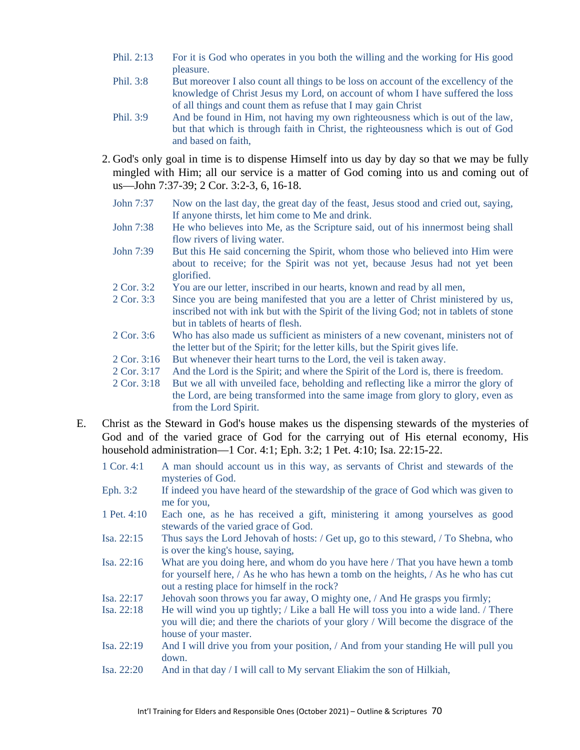- Phil. 2:13 For it is God who operates in you both the willing and the working for His good pleasure.
- Phil. 3:8 But moreover I also count all things to be loss on account of the excellency of the knowledge of Christ Jesus my Lord, on account of whom I have suffered the loss of all things and count them as refuse that I may gain Christ
- Phil. 3:9 And be found in Him, not having my own righteousness which is out of the law, but that which is through faith in Christ, the righteousness which is out of God and based on faith,
- 2. God's only goal in time is to dispense Himself into us day by day so that we may be fully mingled with Him; all our service is a matter of God coming into us and coming out of us—John 7:37-39; 2 Cor. 3:2-3, 6, 16-18.
	- John 7:37 Now on the last day, the great day of the feast, Jesus stood and cried out, saying, If anyone thirsts, let him come to Me and drink.
	- John 7:38 He who believes into Me, as the Scripture said, out of his innermost being shall flow rivers of living water.
	- John 7:39 But this He said concerning the Spirit, whom those who believed into Him were about to receive; for the Spirit was not yet, because Jesus had not yet been glorified.
	- 2 Cor. 3:2 You are our letter, inscribed in our hearts, known and read by all men,
	- 2 Cor. 3:3 Since you are being manifested that you are a letter of Christ ministered by us, inscribed not with ink but with the Spirit of the living God; not in tablets of stone but in tablets of hearts of flesh.
	- 2 Cor. 3:6 Who has also made us sufficient as ministers of a new covenant, ministers not of the letter but of the Spirit; for the letter kills, but the Spirit gives life.
	- 2 Cor. 3:16 But whenever their heart turns to the Lord, the veil is taken away.
	- 2 Cor. 3:17 And the Lord is the Spirit; and where the Spirit of the Lord is, there is freedom.
	- 2 Cor. 3:18 But we all with unveiled face, beholding and reflecting like a mirror the glory of the Lord, are being transformed into the same image from glory to glory, even as from the Lord Spirit.
- E. Christ as the Steward in God's house makes us the dispensing stewards of the mysteries of God and of the varied grace of God for the carrying out of His eternal economy, His household administration—1 Cor. 4:1; Eph. 3:2; 1 Pet. 4:10; Isa. 22:15-22.
	- 1 Cor. 4:1 A man should account us in this way, as servants of Christ and stewards of the mysteries of God.
	- Eph. 3:2 If indeed you have heard of the stewardship of the grace of God which was given to me for you,
	- 1 Pet. 4:10 Each one, as he has received a gift, ministering it among yourselves as good stewards of the varied grace of God.
	- Isa. 22:15 Thus says the Lord Jehovah of hosts: / Get up, go to this steward, / To Shebna, who is over the king's house, saying,
	- Isa. 22:16 What are you doing here, and whom do you have here / That you have hewn a tomb for yourself here, / As he who has hewn a tomb on the heights, / As he who has cut out a resting place for himself in the rock?
	- Isa. 22:17 Jehovah soon throws you far away, O mighty one, / And He grasps you firmly;
	- Isa. 22:18 He will wind you up tightly; / Like a ball He will toss you into a wide land. / There you will die; and there the chariots of your glory / Will become the disgrace of the house of your master.
	- Isa. 22:19 And I will drive you from your position, / And from your standing He will pull you down.
	- Isa. 22:20 And in that day / I will call to My servant Eliakim the son of Hilkiah,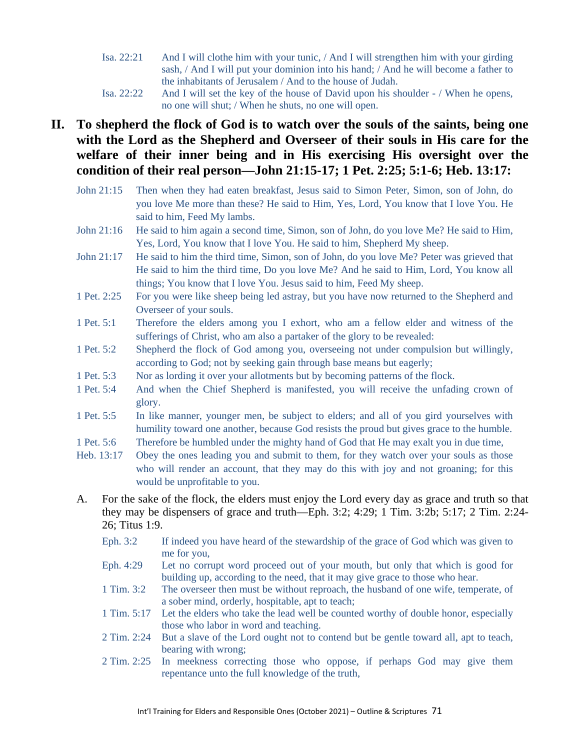- Isa. 22:21 And I will clothe him with your tunic, / And I will strengthen him with your girding sash, / And I will put your dominion into his hand; / And he will become a father to the inhabitants of Jerusalem / And to the house of Judah.
- Isa. 22:22 And I will set the key of the house of David upon his shoulder / When he opens, no one will shut; / When he shuts, no one will open.

# **II. To shepherd the flock of God is to watch over the souls of the saints, being one with the Lord as the Shepherd and Overseer of their souls in His care for the welfare of their inner being and in His exercising His oversight over the condition of their real person—John 21:15-17; 1 Pet. 2:25; 5:1-6; Heb. 13:17:**

- John 21:15 Then when they had eaten breakfast, Jesus said to Simon Peter, Simon, son of John, do you love Me more than these? He said to Him, Yes, Lord, You know that I love You. He said to him, Feed My lambs.
- John 21:16 He said to him again a second time, Simon, son of John, do you love Me? He said to Him, Yes, Lord, You know that I love You. He said to him, Shepherd My sheep.
- John 21:17 He said to him the third time, Simon, son of John, do you love Me? Peter was grieved that He said to him the third time, Do you love Me? And he said to Him, Lord, You know all things; You know that I love You. Jesus said to him, Feed My sheep.
- 1 Pet. 2:25 For you were like sheep being led astray, but you have now returned to the Shepherd and Overseer of your souls.
- 1 Pet. 5:1 Therefore the elders among you I exhort, who am a fellow elder and witness of the sufferings of Christ, who am also a partaker of the glory to be revealed:
- 1 Pet. 5:2 Shepherd the flock of God among you, overseeing not under compulsion but willingly, according to God; not by seeking gain through base means but eagerly;
- 1 Pet. 5:3 Nor as lording it over your allotments but by becoming patterns of the flock.
- 1 Pet. 5:4 And when the Chief Shepherd is manifested, you will receive the unfading crown of glory.
- 1 Pet. 5:5 In like manner, younger men, be subject to elders; and all of you gird yourselves with humility toward one another, because God resists the proud but gives grace to the humble.
- 1 Pet. 5:6 Therefore be humbled under the mighty hand of God that He may exalt you in due time,
- Heb. 13:17 Obey the ones leading you and submit to them, for they watch over your souls as those who will render an account, that they may do this with joy and not groaning; for this would be unprofitable to you.
- A. For the sake of the flock, the elders must enjoy the Lord every day as grace and truth so that they may be dispensers of grace and truth—Eph. 3:2; 4:29; 1 Tim. 3:2b; 5:17; 2 Tim. 2:24- 26; Titus 1:9.
	- Eph. 3:2 If indeed you have heard of the stewardship of the grace of God which was given to me for you,
	- Eph. 4:29 Let no corrupt word proceed out of your mouth, but only that which is good for building up, according to the need, that it may give grace to those who hear.
	- 1 Tim. 3:2 The overseer then must be without reproach, the husband of one wife, temperate, of a sober mind, orderly, hospitable, apt to teach;
	- 1 Tim. 5:17 Let the elders who take the lead well be counted worthy of double honor, especially those who labor in word and teaching.
	- 2 Tim. 2:24 But a slave of the Lord ought not to contend but be gentle toward all, apt to teach, bearing with wrong;
	- 2 Tim. 2:25 In meekness correcting those who oppose, if perhaps God may give them repentance unto the full knowledge of the truth,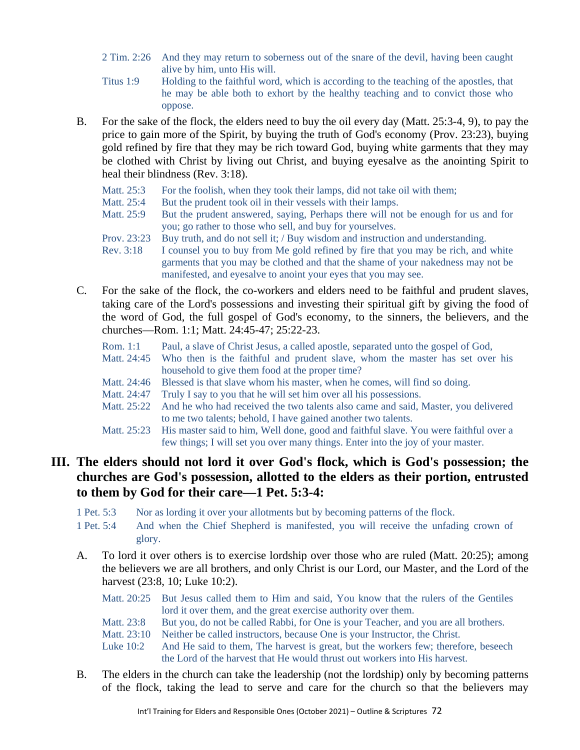- 2 Tim. 2:26 And they may return to soberness out of the snare of the devil, having been caught alive by him, unto His will.
- Titus 1:9 Holding to the faithful word, which is according to the teaching of the apostles, that he may be able both to exhort by the healthy teaching and to convict those who oppose.
- B. For the sake of the flock, the elders need to buy the oil every day (Matt. 25:3-4, 9), to pay the price to gain more of the Spirit, by buying the truth of God's economy (Prov. 23:23), buying gold refined by fire that they may be rich toward God, buying white garments that they may be clothed with Christ by living out Christ, and buying eyesalve as the anointing Spirit to heal their blindness (Rev. 3:18).
	- Matt. 25:3 For the foolish, when they took their lamps, did not take oil with them;
	- Matt. 25:4 But the prudent took oil in their vessels with their lamps.<br>Matt. 25:9 But the prudent answered, saying, Perhaps there will no
	- But the prudent answered, saying, Perhaps there will not be enough for us and for you; go rather to those who sell, and buy for yourselves.
	- Prov. 23:23 Buy truth, and do not sell it; / Buy wisdom and instruction and understanding.
	- Rev. 3:18 I counsel you to buy from Me gold refined by fire that you may be rich, and white garments that you may be clothed and that the shame of your nakedness may not be manifested, and eyesalve to anoint your eyes that you may see.
- C. For the sake of the flock, the co-workers and elders need to be faithful and prudent slaves, taking care of the Lord's possessions and investing their spiritual gift by giving the food of the word of God, the full gospel of God's economy, to the sinners, the believers, and the churches—Rom. 1:1; Matt. 24:45-47; 25:22-23.
	- Rom. 1:1 Paul, a slave of Christ Jesus, a called apostle, separated unto the gospel of God,
	- Matt. 24:45 Who then is the faithful and prudent slave, whom the master has set over his household to give them food at the proper time?
	- Matt. 24:46 Blessed is that slave whom his master, when he comes, will find so doing.
	- Matt. 24:47 Truly I say to you that he will set him over all his possessions.
	- Matt. 25:22 And he who had received the two talents also came and said, Master, you delivered to me two talents; behold, I have gained another two talents.
	- Matt. 25:23 His master said to him, Well done, good and faithful slave. You were faithful over a few things; I will set you over many things. Enter into the joy of your master.

#### **III. The elders should not lord it over God's flock, which is God's possession; the churches are God's possession, allotted to the elders as their portion, entrusted to them by God for their care—1 Pet. 5:3-4:**

- 1 Pet. 5:3 Nor as lording it over your allotments but by becoming patterns of the flock.
- 1 Pet. 5:4 And when the Chief Shepherd is manifested, you will receive the unfading crown of glory.
- A. To lord it over others is to exercise lordship over those who are ruled (Matt. 20:25); among the believers we are all brothers, and only Christ is our Lord, our Master, and the Lord of the harvest (23:8, 10; Luke 10:2).
	- Matt. 20:25 But Jesus called them to Him and said, You know that the rulers of the Gentiles lord it over them, and the great exercise authority over them.
	- Matt. 23:8 But you, do not be called Rabbi, for One is your Teacher, and you are all brothers.
	- Matt. 23:10 Neither be called instructors, because One is your Instructor, the Christ.
	- Luke 10:2 And He said to them, The harvest is great, but the workers few; therefore, beseech the Lord of the harvest that He would thrust out workers into His harvest.
- B. The elders in the church can take the leadership (not the lordship) only by becoming patterns of the flock, taking the lead to serve and care for the church so that the believers may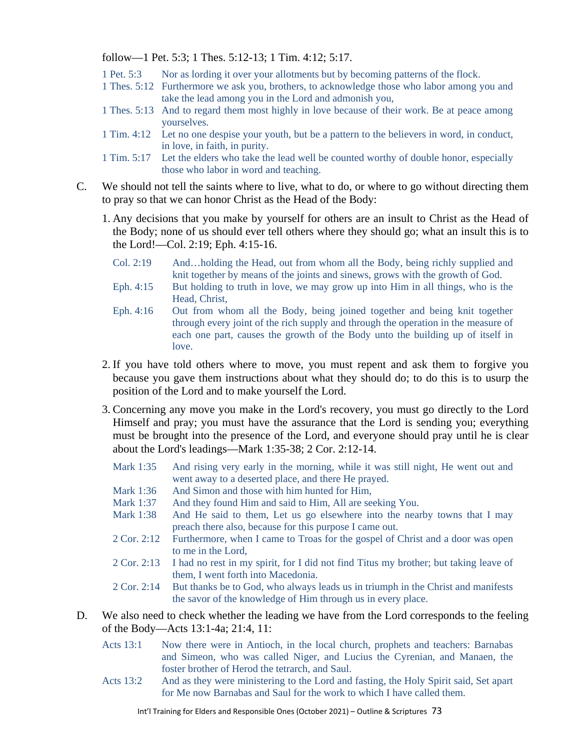follow—1 Pet. 5:3; 1 Thes. 5:12-13; 1 Tim. 4:12; 5:17.

- 1 Pet. 5:3 Nor as lording it over your allotments but by becoming patterns of the flock.
- 1 Thes. 5:12 Furthermore we ask you, brothers, to acknowledge those who labor among you and take the lead among you in the Lord and admonish you,
- 1 Thes. 5:13 And to regard them most highly in love because of their work. Be at peace among yourselves.
- 1 Tim. 4:12 Let no one despise your youth, but be a pattern to the believers in word, in conduct, in love, in faith, in purity.
- 1 Tim. 5:17 Let the elders who take the lead well be counted worthy of double honor, especially those who labor in word and teaching.
- C. We should not tell the saints where to live, what to do, or where to go without directing them to pray so that we can honor Christ as the Head of the Body:
	- 1. Any decisions that you make by yourself for others are an insult to Christ as the Head of the Body; none of us should ever tell others where they should go; what an insult this is to the Lord!—Col. 2:19; Eph. 4:15-16.
		- Col. 2:19 And…holding the Head, out from whom all the Body, being richly supplied and knit together by means of the joints and sinews, grows with the growth of God.
		- Eph. 4:15 But holding to truth in love, we may grow up into Him in all things, who is the Head, Christ,
		- Eph. 4:16 Out from whom all the Body, being joined together and being knit together through every joint of the rich supply and through the operation in the measure of each one part, causes the growth of the Body unto the building up of itself in love.
	- 2. If you have told others where to move, you must repent and ask them to forgive you because you gave them instructions about what they should do; to do this is to usurp the position of the Lord and to make yourself the Lord.
	- 3. Concerning any move you make in the Lord's recovery, you must go directly to the Lord Himself and pray; you must have the assurance that the Lord is sending you; everything must be brought into the presence of the Lord, and everyone should pray until he is clear about the Lord's leadings—Mark 1:35-38; 2 Cor. 2:12-14.
		- Mark 1:35 And rising very early in the morning, while it was still night, He went out and went away to a deserted place, and there He prayed.
		- Mark 1:36 And Simon and those with him hunted for Him,
		- Mark 1:37 And they found Him and said to Him, All are seeking You.
		- Mark 1:38 And He said to them, Let us go elsewhere into the nearby towns that I may preach there also, because for this purpose I came out.
		- 2 Cor. 2:12 Furthermore, when I came to Troas for the gospel of Christ and a door was open to me in the Lord,
		- 2 Cor. 2:13 I had no rest in my spirit, for I did not find Titus my brother; but taking leave of them, I went forth into Macedonia.
		- 2 Cor. 2:14 But thanks be to God, who always leads us in triumph in the Christ and manifests the savor of the knowledge of Him through us in every place.
- D. We also need to check whether the leading we have from the Lord corresponds to the feeling of the Body—Acts 13:1-4a; 21:4, 11:
	- Acts 13:1 Now there were in Antioch, in the local church, prophets and teachers: Barnabas and Simeon, who was called Niger, and Lucius the Cyrenian, and Manaen, the foster brother of Herod the tetrarch, and Saul.
	- Acts 13:2 And as they were ministering to the Lord and fasting, the Holy Spirit said, Set apart for Me now Barnabas and Saul for the work to which I have called them.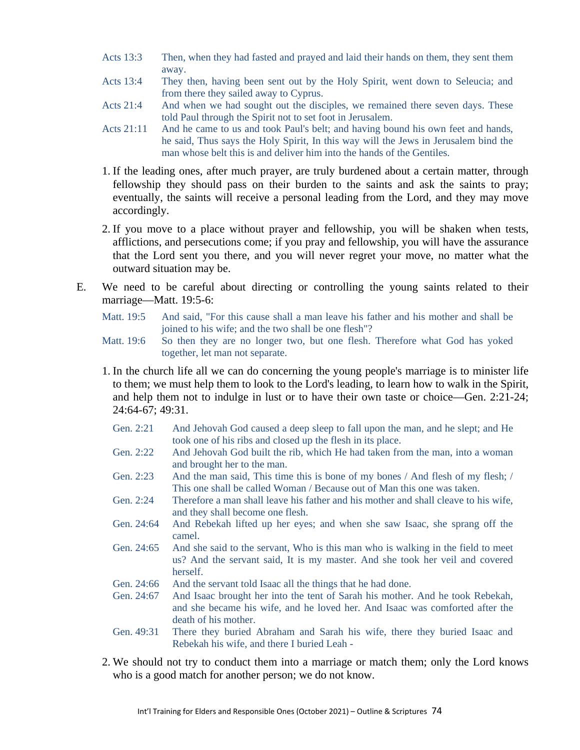- Acts 13:3 Then, when they had fasted and prayed and laid their hands on them, they sent them away.
- Acts 13:4 They then, having been sent out by the Holy Spirit, went down to Seleucia; and from there they sailed away to Cyprus.
- Acts 21:4 And when we had sought out the disciples, we remained there seven days. These told Paul through the Spirit not to set foot in Jerusalem.
- Acts 21:11 And he came to us and took Paul's belt; and having bound his own feet and hands, he said, Thus says the Holy Spirit, In this way will the Jews in Jerusalem bind the man whose belt this is and deliver him into the hands of the Gentiles.
- 1. If the leading ones, after much prayer, are truly burdened about a certain matter, through fellowship they should pass on their burden to the saints and ask the saints to pray; eventually, the saints will receive a personal leading from the Lord, and they may move accordingly.
- 2. If you move to a place without prayer and fellowship, you will be shaken when tests, afflictions, and persecutions come; if you pray and fellowship, you will have the assurance that the Lord sent you there, and you will never regret your move, no matter what the outward situation may be.
- E. We need to be careful about directing or controlling the young saints related to their marriage—Matt. 19:5-6:
	- Matt. 19:5 And said, "For this cause shall a man leave his father and his mother and shall be joined to his wife; and the two shall be one flesh"?
	- Matt. 19:6 So then they are no longer two, but one flesh. Therefore what God has yoked together, let man not separate.
	- 1. In the church life all we can do concerning the young people's marriage is to minister life to them; we must help them to look to the Lord's leading, to learn how to walk in the Spirit, and help them not to indulge in lust or to have their own taste or choice—Gen. 2:21-24; 24:64-67; 49:31.
		- Gen. 2:21 And Jehovah God caused a deep sleep to fall upon the man, and he slept; and He took one of his ribs and closed up the flesh in its place.
		- Gen. 2:22 And Jehovah God built the rib, which He had taken from the man, into a woman and brought her to the man.
		- Gen. 2:23 And the man said, This time this is bone of my bones / And flesh of my flesh; / This one shall be called Woman / Because out of Man this one was taken.
		- Gen. 2:24 Therefore a man shall leave his father and his mother and shall cleave to his wife, and they shall become one flesh.
		- Gen. 24:64 And Rebekah lifted up her eyes; and when she saw Isaac, she sprang off the camel.
		- Gen. 24:65 And she said to the servant, Who is this man who is walking in the field to meet us? And the servant said, It is my master. And she took her veil and covered herself.
		- Gen. 24:66 And the servant told Isaac all the things that he had done.
		- Gen. 24:67 And Isaac brought her into the tent of Sarah his mother. And he took Rebekah, and she became his wife, and he loved her. And Isaac was comforted after the death of his mother.
		- Gen. 49:31 There they buried Abraham and Sarah his wife, there they buried Isaac and Rebekah his wife, and there I buried Leah -
	- 2. We should not try to conduct them into a marriage or match them; only the Lord knows who is a good match for another person; we do not know.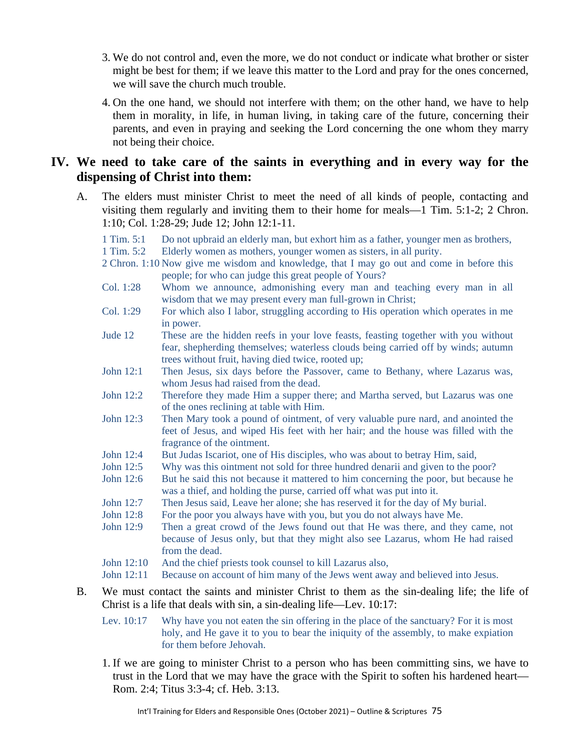- 3. We do not control and, even the more, we do not conduct or indicate what brother or sister might be best for them; if we leave this matter to the Lord and pray for the ones concerned, we will save the church much trouble.
- 4. On the one hand, we should not interfere with them; on the other hand, we have to help them in morality, in life, in human living, in taking care of the future, concerning their parents, and even in praying and seeking the Lord concerning the one whom they marry not being their choice.

#### **IV. We need to take care of the saints in everything and in every way for the dispensing of Christ into them:**

- A. The elders must minister Christ to meet the need of all kinds of people, contacting and visiting them regularly and inviting them to their home for meals—1 Tim. 5:1-2; 2 Chron. 1:10; Col. 1:28-29; Jude 12; John 12:1-11.
	- 1 Tim. 5:1 Do not upbraid an elderly man, but exhort him as a father, younger men as brothers,

1 Tim. 5:2 Elderly women as mothers, younger women as sisters, in all purity.

- 2 Chron. 1:10 Now give me wisdom and knowledge, that I may go out and come in before this people; for who can judge this great people of Yours?
- Col. 1:28 Whom we announce, admonishing every man and teaching every man in all wisdom that we may present every man full-grown in Christ;
- Col. 1:29 For which also I labor, struggling according to His operation which operates in me in power.
- Jude 12 These are the hidden reefs in your love feasts, feasting together with you without fear, shepherding themselves; waterless clouds being carried off by winds; autumn trees without fruit, having died twice, rooted up;
- John 12:1 Then Jesus, six days before the Passover, came to Bethany, where Lazarus was, whom Jesus had raised from the dead.
- John 12:2 Therefore they made Him a supper there; and Martha served, but Lazarus was one of the ones reclining at table with Him.
- John 12:3 Then Mary took a pound of ointment, of very valuable pure nard, and anointed the feet of Jesus, and wiped His feet with her hair; and the house was filled with the fragrance of the ointment.
- John 12:4 But Judas Iscariot, one of His disciples, who was about to betray Him, said,
- John 12:5 Why was this ointment not sold for three hundred denarii and given to the poor?
- John 12:6 But he said this not because it mattered to him concerning the poor, but because he was a thief, and holding the purse, carried off what was put into it.
- John 12:7 Then Jesus said, Leave her alone; she has reserved it for the day of My burial.
- John 12:8 For the poor you always have with you, but you do not always have Me.
- John 12:9 Then a great crowd of the Jews found out that He was there, and they came, not because of Jesus only, but that they might also see Lazarus, whom He had raised from the dead.
- John 12:10 And the chief priests took counsel to kill Lazarus also,
- John 12:11 Because on account of him many of the Jews went away and believed into Jesus.
- B. We must contact the saints and minister Christ to them as the sin-dealing life; the life of Christ is a life that deals with sin, a sin-dealing life—Lev. 10:17:
	- Lev. 10:17 Why have you not eaten the sin offering in the place of the sanctuary? For it is most holy, and He gave it to you to bear the iniquity of the assembly, to make expiation for them before Jehovah.
	- 1. If we are going to minister Christ to a person who has been committing sins, we have to trust in the Lord that we may have the grace with the Spirit to soften his hardened heart— Rom. 2:4; Titus 3:3-4; cf. Heb. 3:13.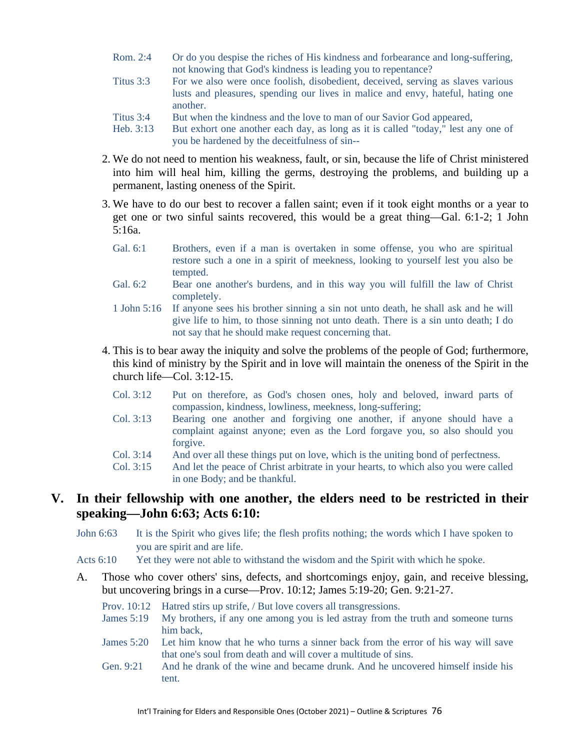- Rom. 2:4 Or do you despise the riches of His kindness and forbearance and long-suffering, not knowing that God's kindness is leading you to repentance?
- Titus 3:3 For we also were once foolish, disobedient, deceived, serving as slaves various lusts and pleasures, spending our lives in malice and envy, hateful, hating one another.
- Titus 3:4 But when the kindness and the love to man of our Savior God appeared,
- Heb. 3:13 But exhort one another each day, as long as it is called "today," lest any one of you be hardened by the deceitfulness of sin--
- 2. We do not need to mention his weakness, fault, or sin, because the life of Christ ministered into him will heal him, killing the germs, destroying the problems, and building up a permanent, lasting oneness of the Spirit.
- 3. We have to do our best to recover a fallen saint; even if it took eight months or a year to get one or two sinful saints recovered, this would be a great thing—Gal. 6:1-2; 1 John 5:16a.
	- Gal. 6:1 Brothers, even if a man is overtaken in some offense, you who are spiritual restore such a one in a spirit of meekness, looking to yourself lest you also be tempted.
	- Gal. 6:2 Bear one another's burdens, and in this way you will fulfill the law of Christ completely.
	- 1 John 5:16 If anyone sees his brother sinning a sin not unto death, he shall ask and he will give life to him, to those sinning not unto death. There is a sin unto death; I do not say that he should make request concerning that.
- 4. This is to bear away the iniquity and solve the problems of the people of God; furthermore, this kind of ministry by the Spirit and in love will maintain the oneness of the Spirit in the church life—Col. 3:12-15.
	- Col. 3:12 Put on therefore, as God's chosen ones, holy and beloved, inward parts of compassion, kindness, lowliness, meekness, long-suffering;
	- Col. 3:13 Bearing one another and forgiving one another, if anyone should have a complaint against anyone; even as the Lord forgave you, so also should you forgive.
	- Col. 3:14 And over all these things put on love, which is the uniting bond of perfectness.
	- Col. 3:15 And let the peace of Christ arbitrate in your hearts, to which also you were called in one Body; and be thankful.

#### **V. In their fellowship with one another, the elders need to be restricted in their speaking—John 6:63; Acts 6:10:**

- John 6:63 It is the Spirit who gives life; the flesh profits nothing; the words which I have spoken to you are spirit and are life.
- Acts 6:10 Yet they were not able to withstand the wisdom and the Spirit with which he spoke.
- A. Those who cover others' sins, defects, and shortcomings enjoy, gain, and receive blessing, but uncovering brings in a curse—Prov. 10:12; James 5:19-20; Gen. 9:21-27.
	- Prov. 10:12 Hatred stirs up strife, / But love covers all transgressions.
	- James 5:19 My brothers, if any one among you is led astray from the truth and someone turns him back,
	- James 5:20 Let him know that he who turns a sinner back from the error of his way will save that one's soul from death and will cover a multitude of sins.
	- Gen. 9:21 And he drank of the wine and became drunk. And he uncovered himself inside his tent.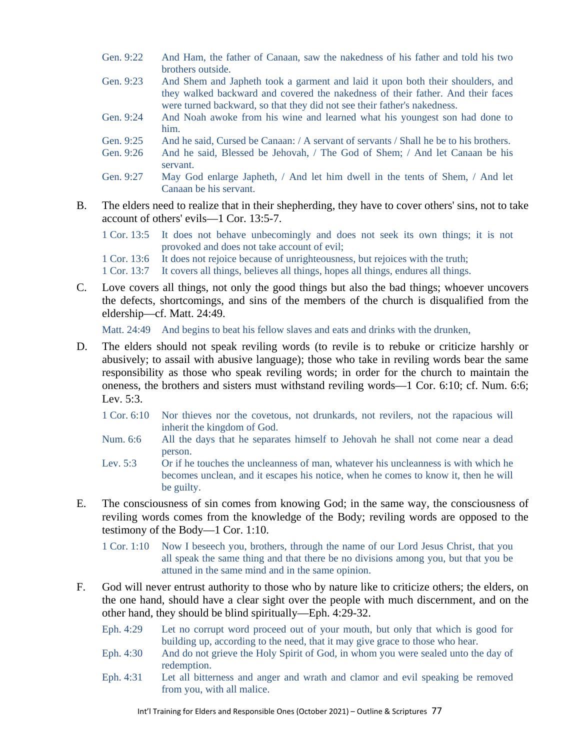- Gen. 9:22 And Ham, the father of Canaan, saw the nakedness of his father and told his two brothers outside.
- Gen. 9:23 And Shem and Japheth took a garment and laid it upon both their shoulders, and they walked backward and covered the nakedness of their father. And their faces were turned backward, so that they did not see their father's nakedness.
- Gen. 9:24 And Noah awoke from his wine and learned what his youngest son had done to him.
- Gen. 9:25 And he said, Cursed be Canaan: / A servant of servants / Shall he be to his brothers.
- Gen. 9:26 And he said, Blessed be Jehovah, / The God of Shem; / And let Canaan be his servant.
- Gen. 9:27 May God enlarge Japheth, / And let him dwell in the tents of Shem, / And let Canaan be his servant.
- B. The elders need to realize that in their shepherding, they have to cover others' sins, not to take account of others' evils—1 Cor. 13:5-7.
	- 1 Cor. 13:5 It does not behave unbecomingly and does not seek its own things; it is not provoked and does not take account of evil; 1 Cor. 13:6 It does not rejoice because of unrighteousness, but rejoices with the truth;
	- 1 Cor. 13:7 It covers all things, believes all things, hopes all things, endures all things.
- C. Love covers all things, not only the good things but also the bad things; whoever uncovers the defects, shortcomings, and sins of the members of the church is disqualified from the eldership—cf. Matt. 24:49.

Matt. 24:49 And begins to beat his fellow slaves and eats and drinks with the drunken,

- D. The elders should not speak reviling words (to revile is to rebuke or criticize harshly or abusively; to assail with abusive language); those who take in reviling words bear the same responsibility as those who speak reviling words; in order for the church to maintain the oneness, the brothers and sisters must withstand reviling words—1 Cor. 6:10; cf. Num. 6:6; Lev. 5:3.
	- 1 Cor. 6:10 Nor thieves nor the covetous, not drunkards, not revilers, not the rapacious will inherit the kingdom of God.
	- Num. 6:6 All the days that he separates himself to Jehovah he shall not come near a dead person.
	- Lev. 5:3 Or if he touches the uncleanness of man, whatever his uncleanness is with which he becomes unclean, and it escapes his notice, when he comes to know it, then he will be guilty.
- E. The consciousness of sin comes from knowing God; in the same way, the consciousness of reviling words comes from the knowledge of the Body; reviling words are opposed to the testimony of the Body—1 Cor. 1:10.
	- 1 Cor. 1:10 Now I beseech you, brothers, through the name of our Lord Jesus Christ, that you all speak the same thing and that there be no divisions among you, but that you be attuned in the same mind and in the same opinion.
- F. God will never entrust authority to those who by nature like to criticize others; the elders, on the one hand, should have a clear sight over the people with much discernment, and on the other hand, they should be blind spiritually—Eph. 4:29-32.
	- Eph. 4:29 Let no corrupt word proceed out of your mouth, but only that which is good for building up, according to the need, that it may give grace to those who hear.
	- Eph. 4:30 And do not grieve the Holy Spirit of God, in whom you were sealed unto the day of redemption.
	- Eph. 4:31 Let all bitterness and anger and wrath and clamor and evil speaking be removed from you, with all malice.